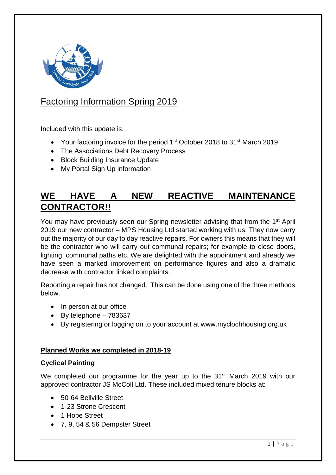

# Factoring Information Spring 2019

Included with this update is:

- Your factoring invoice for the period 1<sup>st</sup> October 2018 to 31<sup>st</sup> March 2019.
- The Associations Debt Recovery Process
- Block Building Insurance Update
- My Portal Sign Up information

## **WE HAVE A NEW REACTIVE MAINTENANCE CONTRACTOR!!**

You may have previously seen our Spring newsletter advising that from the 1st April 2019 our new contractor – MPS Housing Ltd started working with us. They now carry out the majority of our day to day reactive repairs. For owners this means that they will be the contractor who will carry out communal repairs; for example to close doors, lighting, communal paths etc. We are delighted with the appointment and already we have seen a marked improvement on performance figures and also a dramatic decrease with contractor linked complaints.

Reporting a repair has not changed. This can be done using one of the three methods below.

- In person at our office
- $\bullet$  By telephone  $-783637$
- By registering or logging on to your account at www.myclochhousing.org.uk

## **Planned Works we completed in 2018-19**

## **Cyclical Painting**

We completed our programme for the year up to the 31<sup>st</sup> March 2019 with our approved contractor JS McColl Ltd. These included mixed tenure blocks at:

- 50-64 Bellville Street
- 1-23 Strone Crescent
- 1 Hope Street
- 7, 9, 54 & 56 Dempster Street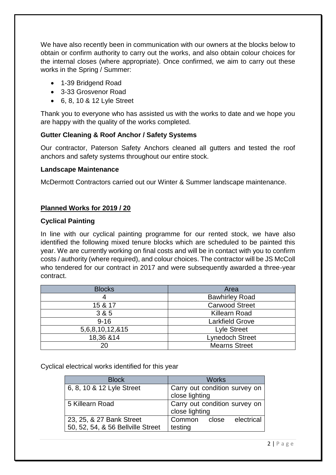We have also recently been in communication with our owners at the blocks below to obtain or confirm authority to carry out the works, and also obtain colour choices for the internal closes (where appropriate). Once confirmed, we aim to carry out these works in the Spring / Summer:

- 1-39 Bridgend Road
- 3-33 Grosvenor Road
- 6, 8, 10 & 12 Lyle Street

Thank you to everyone who has assisted us with the works to date and we hope you are happy with the quality of the works completed.

#### **Gutter Cleaning & Roof Anchor / Safety Systems**

Our contractor, Paterson Safety Anchors cleaned all gutters and tested the roof anchors and safety systems throughout our entire stock.

#### **Landscape Maintenance**

McDermott Contractors carried out our Winter & Summer landscape maintenance.

#### **Planned Works for 2019 / 20**

#### **Cyclical Painting**

In line with our cyclical painting programme for our rented stock, we have also identified the following mixed tenure blocks which are scheduled to be painted this year. We are currently working on final costs and will be in contact with you to confirm costs / authority (where required), and colour choices. The contractor will be JS McColl who tendered for our contract in 2017 and were subsequently awarded a three-year contract.

| <b>Blocks</b>   | Area                   |
|-----------------|------------------------|
| 4               | <b>Bawhirley Road</b>  |
| 15 & 17         | <b>Carwood Street</b>  |
| 3 & 5           | <b>Killearn Road</b>   |
| $9 - 16$        | <b>Larkfield Grove</b> |
| 5,6,8,10,12,&15 | <b>Lyle Street</b>     |
| 18,36 & 14      | <b>Lynedoch Street</b> |
| 20              | <b>Mearns Street</b>   |

Cyclical electrical works identified for this year

| <b>Block</b>                      | <b>Works</b>                  |
|-----------------------------------|-------------------------------|
| 6, 8, 10 & 12 Lyle Street         | Carry out condition survey on |
|                                   | close lighting                |
| 5 Killearn Road                   | Carry out condition survey on |
|                                   | close lighting                |
| 23, 25, & 27 Bank Street          | Common<br>electrical<br>close |
| 50, 52, 54, & 56 Bellville Street | testing                       |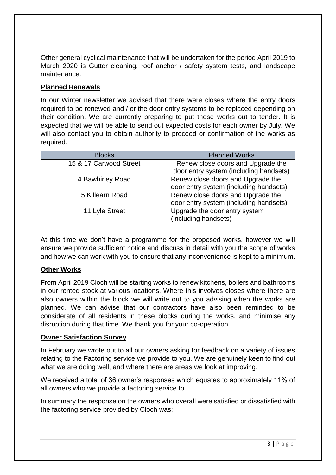Other general cyclical maintenance that will be undertaken for the period April 2019 to March 2020 is Gutter cleaning, roof anchor / safety system tests, and landscape maintenance.

## **Planned Renewals**

In our Winter newsletter we advised that there were closes where the entry doors required to be renewed and / or the door entry systems to be replaced depending on their condition. We are currently preparing to put these works out to tender. It is expected that we will be able to send out expected costs for each owner by July. We will also contact you to obtain authority to proceed or confirmation of the works as required.

| <b>Blocks</b>          | <b>Planned Works</b>                   |
|------------------------|----------------------------------------|
| 15 & 17 Carwood Street | Renew close doors and Upgrade the      |
|                        | door entry system (including handsets) |
| 4 Bawhirley Road       | Renew close doors and Upgrade the      |
|                        | door entry system (including handsets) |
| 5 Killearn Road        | Renew close doors and Upgrade the      |
|                        | door entry system (including handsets) |
| 11 Lyle Street         | Upgrade the door entry system          |
|                        | (including handsets)                   |

At this time we don't have a programme for the proposed works, however we will ensure we provide sufficient notice and discuss in detail with you the scope of works and how we can work with you to ensure that any inconvenience is kept to a minimum.

## **Other Works**

From April 2019 Cloch will be starting works to renew kitchens, boilers and bathrooms in our rented stock at various locations. Where this involves closes where there are also owners within the block we will write out to you advising when the works are planned. We can advise that our contractors have also been reminded to be considerate of all residents in these blocks during the works, and minimise any disruption during that time. We thank you for your co-operation.

## **Owner Satisfaction Survey**

In February we wrote out to all our owners asking for feedback on a variety of issues relating to the Factoring service we provide to you. We are genuinely keen to find out what we are doing well, and where there are areas we look at improving.

We received a total of 36 owner's responses which equates to approximately 11% of all owners who we provide a factoring service to.

In summary the response on the owners who overall were satisfied or dissatisfied with the factoring service provided by Cloch was: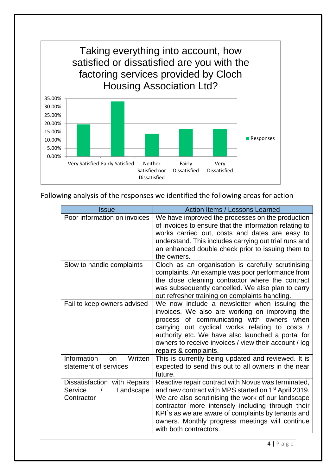

Following analysis of the responses we identified the following areas for action

| <b>Issue</b>                                                       | <b>Action Items / Lessons Learned</b>                                                                                                                                                                                                                                                                                                                                 |
|--------------------------------------------------------------------|-----------------------------------------------------------------------------------------------------------------------------------------------------------------------------------------------------------------------------------------------------------------------------------------------------------------------------------------------------------------------|
| Poor information on invoices                                       | We have improved the processes on the production<br>of invoices to ensure that the information relating to<br>works carried out, costs and dates are easy to<br>understand. This includes carrying out trial runs and<br>an enhanced double check prior to issuing them to<br>the owners.                                                                             |
| Slow to handle complaints                                          | Cloch as an organisation is carefully scrutinising<br>complaints. An example was poor performance from<br>the close cleaning contractor where the contract<br>was subsequently cancelled. We also plan to carry<br>out refresher training on complaints handling.                                                                                                     |
| Fail to keep owners advised                                        | We now include a newsletter when issuing the<br>invoices. We also are working on improving the<br>process of communicating with owners when<br>carrying out cyclical works relating to costs /<br>authority etc. We have also launched a portal for<br>owners to receive invoices / view their account / log<br>repairs & complaints.                                 |
| Information<br>Written<br><b>on</b><br>statement of services       | This is currently being updated and reviewed. It is<br>expected to send this out to all owners in the near<br>future.                                                                                                                                                                                                                                                 |
| Dissatisfaction with Repairs<br>Landscape<br>Service<br>Contractor | Reactive repair contract with Novus was terminated,<br>and new contract with MPS started on 1 <sup>st</sup> April 2019.<br>We are also scrutinising the work of our landscape<br>contractor more intensely including through their<br>KPI's as we are aware of complaints by tenants and<br>owners. Monthly progress meetings will continue<br>with both contractors. |